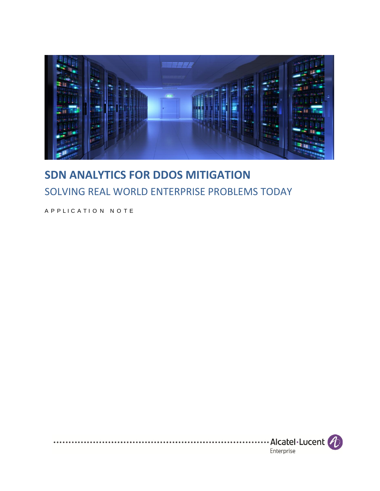

## **SDN ANALYTICS FOR DDOS MITIGATION** SOLVING REAL WORLD ENTERPRISE PROBLEMS TODAY

A P P L I C A T I O N N O T E

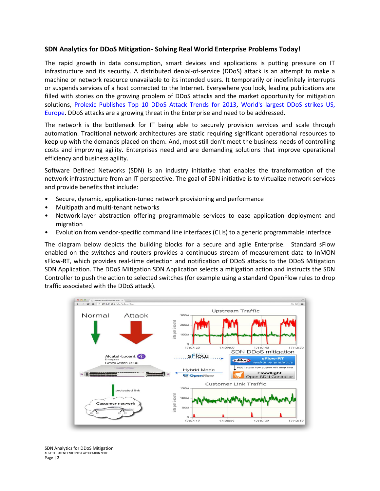## **SDN Analytics for DDoS Mitigation- Solving Real World Enterprise Problems Today!**

The rapid growth in data consumption, smart devices and applications is putting pressure on IT infrastructure and its security. A distributed denial-of-service (DDoS) attack is an attempt to make a machine or network resource unavailable to its intended users. It temporarily or indefinitely interrupts or suspends services of a host connected to the Internet. Everywhere you look, leading publications are filled with stories on the growing problem of DDoS attacks and the market opportunity for mitigation solutions, [Prolexic Publishes Top 10 DDoS Attack Trends for 2013,](http://www.itbriefcase.net/top-ddos-attack-trends-for-2013) [World's largest DDoS strikes US,](http://www.itnews.com.au/News/372033,worlds-largest-ddos-strikes-us-europe.aspx)  [Europe.](http://www.itnews.com.au/News/372033,worlds-largest-ddos-strikes-us-europe.aspx) DDoS attacks are a growing threat in the Enterprise and need to be addressed.

The network is the bottleneck for IT being able to securely provision services and scale through automation. Traditional network architectures are static requiring significant operational resources to keep up with the demands placed on them. And, most still don't meet the business needs of controlling costs and improving agility. Enterprises need and are demanding solutions that improve operational efficiency and business agility.

Software Defined Networks (SDN) is an industry initiative that enables the transformation of the network infrastructure from an IT perspective. The goal of SDN initiative is to virtualize network services and provide benefits that include:

- Secure, dynamic, application-tuned network provisioning and performance
- Multipath and multi-tenant networks
- Network-layer abstraction offering programmable services to ease application deployment and migration
- Evolution from vendor-specific command line interfaces (CLIs) to a generic programmable interface

The diagram below depicts the building blocks for a secure and agile Enterprise. Standard sFlow enabled on the switches and routers provides a continuous stream of measurement data to InMON sFlow-RT, which provides real-time detection and notification of DDoS attacks to the DDoS Mitigation SDN Application. The DDoS Mitigation SDN Application selects a mitigation action and instructs the SDN Controller to push the action to selected switches (for example using a standard OpenFlow rules to drop traffic associated with the DDoS attack).



SDN Analytics for DDoS Mitigation ALCATEL-LUCENT ENTERPRISE APPLICATION NOTE Page | 2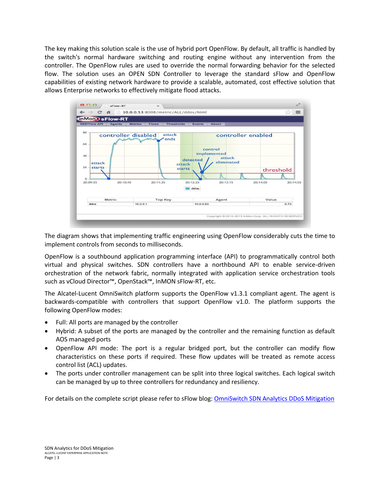The key making this solution scale is the use of hybrid port OpenFlow. By default, all traffic is handled by the switch's normal hardware switching and routing engine without any intervention from the controller. The OpenFlow rules are used to override the normal forwarding behavior for the selected flow. The solution uses an OPEN SDN Controller to leverage the standard sFlow and OpenFlow capabilities of existing network hardware to provide a scalable, automated, cost effective solution that allows Enterprise networks to effectively mitigate flood attacks.



The diagram shows that implementing traffic engineering using OpenFlow considerably cuts the time to implement controls from seconds to milliseconds.

OpenFlow is a southbound application programming interface (API) to programmatically control both virtual and physical switches. SDN controllers have a northbound API to enable service-driven orchestration of the network fabric, normally integrated with application service orchestration tools such as vCloud Director™, OpenStack™, InMON sFlow-RT, etc.

The Alcatel-Lucent OmniSwitch platform supports the OpenFlow v1.3.1 compliant agent. The agent is backwards-compatible with controllers that support OpenFlow v1.0. The platform supports the following OpenFlow modes:

- Full: All ports are managed by the controller
- Hybrid: A subset of the ports are managed by the controller and the remaining function as default AOS managed ports
- OpenFlow API mode: The port is a regular bridged port, but the controller can modify flow characteristics on these ports if required. These flow updates will be treated as remote access control list (ACL) updates.
- The ports under controller management can be split into three logical switches. Each logical switch can be managed by up to three controllers for redundancy and resiliency.

For details on the complete script please refer to sFlow blog: [OmniSwitch SDN Analytics DDoS Mitigation](http://blog.sflow.com/2014/01/physical-switch-hybrid-openflow-example.html)